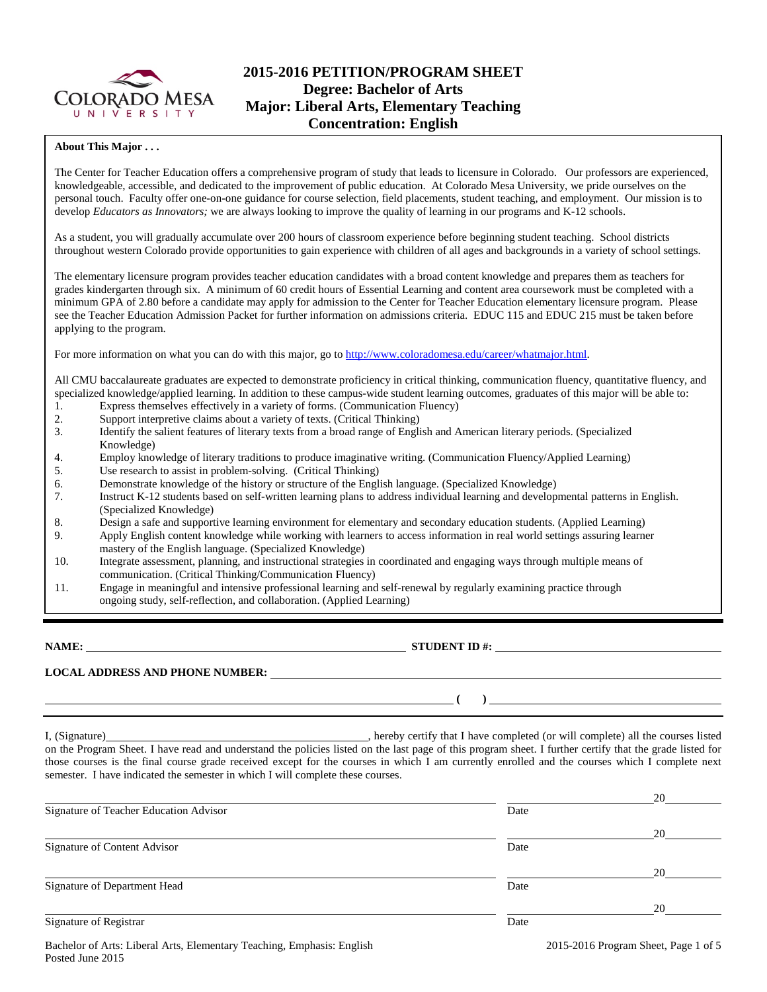

# **2015-2016 PETITION/PROGRAM SHEET Degree: Bachelor of Arts Major: Liberal Arts, Elementary Teaching Concentration: English**

## **About This Major . . .**

The Center for Teacher Education offers a comprehensive program of study that leads to licensure in Colorado. Our professors are experienced, knowledgeable, accessible, and dedicated to the improvement of public education. At Colorado Mesa University, we pride ourselves on the personal touch. Faculty offer one-on-one guidance for course selection, field placements, student teaching, and employment. Our mission is to develop *Educators as Innovators;* we are always looking to improve the quality of learning in our programs and K-12 schools.

As a student, you will gradually accumulate over 200 hours of classroom experience before beginning student teaching. School districts throughout western Colorado provide opportunities to gain experience with children of all ages and backgrounds in a variety of school settings.

The elementary licensure program provides teacher education candidates with a broad content knowledge and prepares them as teachers for grades kindergarten through six. A minimum of 60 credit hours of Essential Learning and content area coursework must be completed with a minimum GPA of 2.80 before a candidate may apply for admission to the Center for Teacher Education elementary licensure program. Please see the Teacher Education Admission Packet for further information on admissions criteria. EDUC 115 and EDUC 215 must be taken before applying to the program.

For more information on what you can do with this major, go to [http://www.coloradomesa.edu/career/whatmajor.html.](http://www.coloradomesa.edu/career/whatmajor.html)

All CMU baccalaureate graduates are expected to demonstrate proficiency in critical thinking, communication fluency, quantitative fluency, and specialized knowledge/applied learning. In addition to these campus-wide student learning outcomes, graduates of this major will be able to:

- 1. Express themselves effectively in a variety of forms. (Communication Fluency)
- 2. Support interpretive claims about a variety of texts. (Critical Thinking)
- 3. Identify the salient features of literary texts from a broad range of English and American literary periods. (Specialized Knowledge)
- 4. Employ knowledge of literary traditions to produce imaginative writing. (Communication Fluency/Applied Learning)<br>5. Use research to assist in problem-solving. (Critical Thinking)
- Use research to assist in problem-solving. (Critical Thinking)
- 6. Demonstrate knowledge of the history or structure of the English language. (Specialized Knowledge)
- 7. Instruct K-12 students based on self-written learning plans to address individual learning and developmental patterns in English. (Specialized Knowledge)
- 8. Design a safe and supportive learning environment for elementary and secondary education students. (Applied Learning)
- 9. Apply English content knowledge while working with learners to access information in real world settings assuring learner mastery of the English language. (Specialized Knowledge)
- 10. Integrate assessment, planning, and instructional strategies in coordinated and engaging ways through multiple means of communication. (Critical Thinking/Communication Fluency)
- 11. Engage in meaningful and intensive professional learning and self-renewal by regularly examining practice through ongoing study, self-reflection, and collaboration. (Applied Learning)

**NAME: STUDENT ID #: STUDENT ID #: STUDENT ID #: STUDENT ID #: STUDENT ID #: STUDENT ID #: STUDENT ID #: STUDENT ID #: STUDENT ID #: STUDENT ID #: STUDENT ID #: STUDENT ID #: STUDENT ID #: STUDE** 

**LOCAL ADDRESS AND PHONE NUMBER:**

**( )** 

I, (Signature) **Solution** , hereby certify that I have completed (or will complete) all the courses listed on the Program Sheet. I have read and understand the policies listed on the last page of this program sheet. I further certify that the grade listed for those courses is the final course grade received except for the courses in which I am currently enrolled and the courses which I complete next semester. I have indicated the semester in which I will complete these courses.

|                                        |      | 20 |
|----------------------------------------|------|----|
| Signature of Teacher Education Advisor | Date |    |
|                                        |      | 20 |
| Signature of Content Advisor           | Date |    |
|                                        |      | 20 |
| Signature of Department Head           | Date |    |
|                                        |      | 20 |
| Signature of Registrar                 | Date |    |
|                                        |      |    |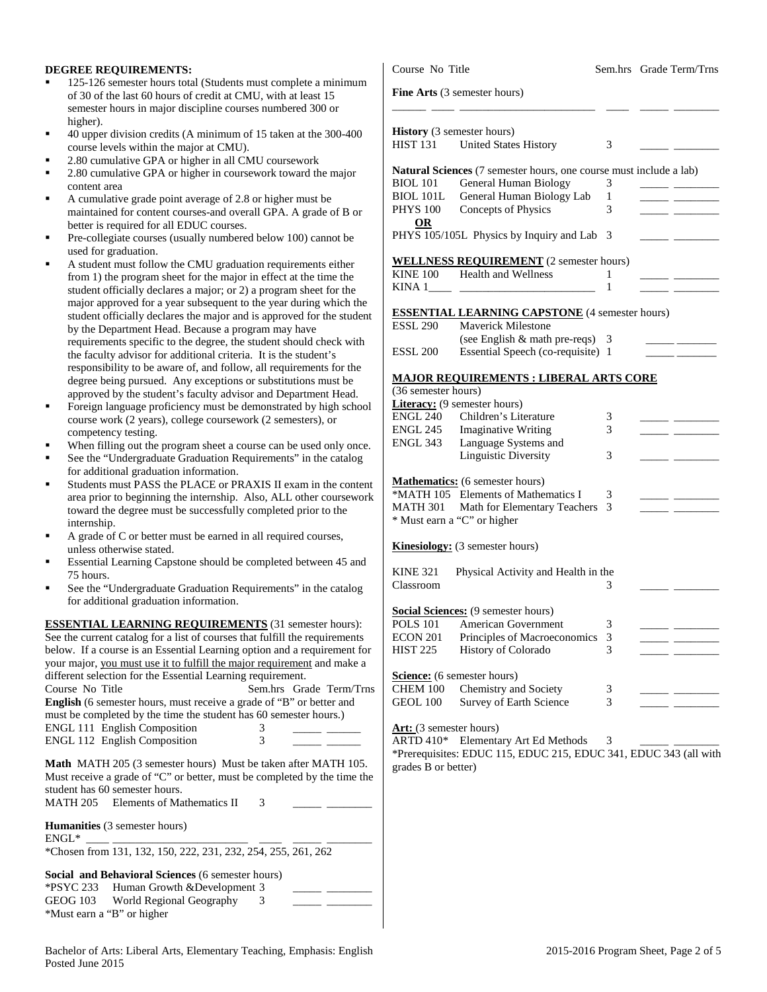## **DEGREE REQUIREMENTS:**

- 125-126 semester hours total (Students must complete a minin of 30 of the last 60 hours of credit at CMU, with at least 15 semester hours in major discipline courses numbered 300 or higher).
- 40 upper division credits (A minimum of 15 taken at the 300-4 course levels within the major at CMU).
- 2.80 cumulative GPA or higher in all CMU coursework
- 2.80 cumulative GPA or higher in coursework toward the major content area
- A cumulative grade point average of 2.8 or higher must be maintained for content courses-and overall GPA. A grade of B better is required for all EDUC courses.
- Pre-collegiate courses (usually numbered below 100) cannot b used for graduation.
- A student must follow the CMU graduation requirements either from 1) the program sheet for the major in effect at the time the student officially declares a major; or 2) a program sheet for the major approved for a year subsequent to the year during which student officially declares the major and is approved for the student by the Department Head. Because a program may have requirements specific to the degree, the student should check w the faculty advisor for additional criteria. It is the student's responsibility to be aware of, and follow, all requirements for degree being pursued. Any exceptions or substitutions must b approved by the student's faculty advisor and Department Hea
- Foreign language proficiency must be demonstrated by high se course work (2 years), college coursework (2 semesters), or competency testing.
- When filling out the program sheet a course can be used only
- See the "Undergraduate Graduation Requirements" in the catalogue of the  $\alpha$ for additional graduation information.
- Students must PASS the PLACE or PRAXIS II exam in the co area prior to beginning the internship. Also, ALL other course toward the degree must be successfully completed prior to the internship.
- A grade of C or better must be earned in all required courses, unless otherwise stated.
- Essential Learning Capstone should be completed between 45 75 hours.
- See the "Undergraduate Graduation Requirements" in the catalog at the "Undergraduate Graduation Requirements" in the catalog for additional graduation information.

**ESSENTIAL LEARNING REQUIREMENTS** (31 semester hours): See the current catalog for a list of courses that fulfill the requirement below. If a course is an Essential Learning option and a requirement your major, you must use it to fulfill the major requirement and ma different selection for the Essential Learning requirement.<br>Course No Title Sem.hrs Gra Sem.hrs Grade Tern **English** (6 semester hours, must receive a grade of "B" or better and must be completed by the time the student has 60 semester hours.) ENGL 111 English Composition 3 \_\_\_\_\_ \_\_\_\_\_\_ ENGL 112 English Composition 3 \_\_\_\_\_ \_\_\_\_\_\_ **Math MATH 205 (3 semester hours) Must be taken after MATH** 

Must receive a grade of "C" or better, must be completed by the tir student has 60 semester hours.  $MATH$  205 Elements of Mathematics  $II$  3

|              | Livinghts of hadnomation <b>if</b>                            |
|--------------|---------------------------------------------------------------|
|              | <b>Humanities</b> (3 semester hours)                          |
| $ENGL^*$     |                                                               |
|              | *Chosen from 131, 132, 150, 222, 231, 232, 254, 255, 261, 262 |
|              |                                                               |
|              | <b>Social and Behavioral Sciences</b> (6 semester hours)      |
| $*$ PSYC 233 | Human Growth & Development 3                                  |
| GEOG 103     | World Regional Geography                                      |
|              |                                                               |

| UEUU 103                   | world Regional Geography |  |  |  |
|----------------------------|--------------------------|--|--|--|
| *Must earn a "B" or higher |                          |  |  |  |

|                          | Course No Title         |                                                                           |        | Sem.hrs Grade Term/Trns                               |  |  |
|--------------------------|-------------------------|---------------------------------------------------------------------------|--------|-------------------------------------------------------|--|--|
| num                      |                         | Fine Arts (3 semester hours)                                              |        |                                                       |  |  |
| 400                      | <b>HIST 131</b>         | <b>History</b> (3 semester hours)<br><b>United States History</b>         | 3      |                                                       |  |  |
| or                       |                         | <b>Natural Sciences</b> (7 semester hours, one course must include a lab) |        |                                                       |  |  |
|                          | BIOL 101<br>BIOL 101L   | General Human Biology<br>General Human Biology Lab                        | 3<br>1 |                                                       |  |  |
|                          | <b>PHYS 100</b>         | Concepts of Physics                                                       | 3      |                                                       |  |  |
| 3 or                     | <b>OR</b>               |                                                                           |        |                                                       |  |  |
| эe                       |                         | PHYS 105/105L Physics by Inquiry and Lab                                  | -3     |                                                       |  |  |
| er                       |                         | <b>WELLNESS REQUIREMENT</b> (2 semester hours)                            |        |                                                       |  |  |
| ıe                       | KINE 100                | <b>Health and Wellness</b>                                                | 1      |                                                       |  |  |
| he                       |                         |                                                                           | 1      |                                                       |  |  |
| h the                    |                         |                                                                           |        |                                                       |  |  |
| udent                    |                         | <b>ESSENTIAL LEARNING CAPSTONE</b> (4 semester hours)                     |        |                                                       |  |  |
|                          | <b>ESSL 290</b>         | <b>Maverick Milestone</b>                                                 |        |                                                       |  |  |
| with                     |                         | (see English $&$ math pre-reqs) 3                                         |        |                                                       |  |  |
|                          | <b>ESSL 200</b>         | Essential Speech (co-requisite) 1                                         |        |                                                       |  |  |
| the                      |                         | <b>MAJOR REQUIREMENTS : LIBERAL ARTS CORE</b>                             |        |                                                       |  |  |
| œ                        | (36 semester hours)     |                                                                           |        |                                                       |  |  |
| ad.                      |                         | <b>Literacy:</b> (9 semester hours)                                       |        |                                                       |  |  |
| chool                    | ENGL 240                | Children's Literature                                                     | 3      |                                                       |  |  |
|                          | ENGL 245                | <b>Imaginative Writing</b>                                                | 3      |                                                       |  |  |
|                          | ENGL 343                | Language Systems and                                                      |        |                                                       |  |  |
| once.<br>alog            |                         | <b>Linguistic Diversity</b>                                               | 3      |                                                       |  |  |
|                          |                         |                                                                           |        |                                                       |  |  |
| ontent                   |                         | <b>Mathematics:</b> (6 semester hours)                                    |        |                                                       |  |  |
| ework                    |                         | *MATH 105 Elements of Mathematics I                                       | 3      |                                                       |  |  |
|                          | MATH 301                | Math for Elementary Teachers                                              | 3      |                                                       |  |  |
|                          |                         | * Must earn a "C" or higher                                               |        |                                                       |  |  |
|                          |                         | <b>Kinesiology:</b> (3 semester hours)                                    |        |                                                       |  |  |
| i and                    | <b>KINE 321</b>         | Physical Activity and Health in the                                       |        |                                                       |  |  |
|                          | Classroom               |                                                                           | 3      |                                                       |  |  |
| alog                     |                         |                                                                           |        |                                                       |  |  |
|                          |                         | <b>Social Sciences:</b> (9 semester hours)                                |        |                                                       |  |  |
| $\overline{\text{rs}}$ : |                         | POLS 101 American Government                                              | 3      |                                                       |  |  |
| ents                     | ECON 201                | Principles of Macroeconomics                                              | 3      | $\overline{\phantom{a}}$ and $\overline{\phantom{a}}$ |  |  |
| nt for                   | <b>HIST 225</b>         | History of Colorado                                                       | 3      |                                                       |  |  |
| ıke a                    |                         |                                                                           |        |                                                       |  |  |
|                          |                         | <b>Science:</b> (6 semester hours)                                        |        |                                                       |  |  |
| n/Trns                   | CHEM 100                | Chemistry and Society                                                     | 3      |                                                       |  |  |
| ıd                       | <b>GEOL 100</b>         | Survey of Earth Science                                                   | 3      |                                                       |  |  |
|                          | Art: (3 semester hours) |                                                                           |        |                                                       |  |  |
|                          | ARTD 410*               | Elementary Art Ed Methods                                                 | 3      |                                                       |  |  |
|                          |                         | *Prerequisites: EDUC 115, EDUC 215, EDUC 341, EDUC 343 (all with          |        |                                                       |  |  |
| 105.                     | grades B or better)     |                                                                           |        |                                                       |  |  |
| ne the                   |                         |                                                                           |        |                                                       |  |  |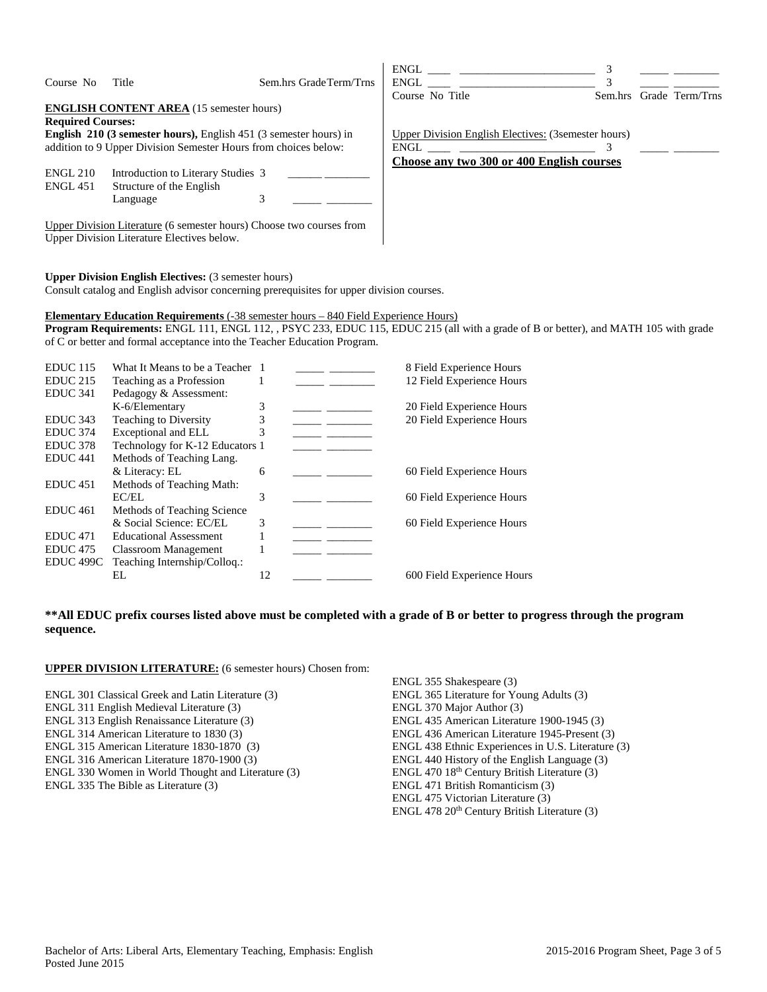| Course No                          | Title                                                                                                                                                                                            | Sem.hrs Grade Term/Trns | ENGL FOR THE STATE OF THE STATE OF THE STATE OF THE STATE OF THE STATE OF THE STATE OF THE STATE OF THE STATE O<br>ENGL<br>Course No Title | Sem.hrs | Grade Term/Trns |
|------------------------------------|--------------------------------------------------------------------------------------------------------------------------------------------------------------------------------------------------|-------------------------|--------------------------------------------------------------------------------------------------------------------------------------------|---------|-----------------|
|                                    | <b>ENGLISH CONTENT AREA</b> (15 semester hours)                                                                                                                                                  |                         |                                                                                                                                            |         |                 |
| <b>Required Courses:</b>           |                                                                                                                                                                                                  |                         |                                                                                                                                            |         |                 |
|                                    | <b>English 210 (3 semester hours), English 451 (3 semester hours) in</b>                                                                                                                         |                         | Upper Division English Electives: (3 semester hours)                                                                                       |         |                 |
|                                    | addition to 9 Upper Division Semester Hours from choices below:                                                                                                                                  |                         |                                                                                                                                            |         |                 |
| <b>ENGL 210</b><br><b>ENGL 451</b> | Introduction to Literary Studies 3<br>Structure of the English<br>Language<br>Upper Division Literature (6 semester hours) Choose two courses from<br>Upper Division Literature Electives below. | 3                       | Choose any two 300 or 400 English courses                                                                                                  |         |                 |

## **Upper Division English Electives:** (3 semester hours)

Consult catalog and English advisor concerning prerequisites for upper division courses.

### **Elementary Education Requirements** (-38 semester hours – 840 Field Experience Hours)

**Program Requirements:** ENGL 111, ENGL 112, , PSYC 233, EDUC 115, EDUC 215 (all with a grade of B or better), and MATH 105 with grade of C or better and formal acceptance into the Teacher Education Program.

| <b>EDUC</b> 115     | What It Means to be a Teacher 1 |    |  | 8 Field Experience Hours   |
|---------------------|---------------------------------|----|--|----------------------------|
| <b>EDUC 215</b>     | Teaching as a Profession        |    |  | 12 Field Experience Hours  |
| EDUC <sub>341</sub> | Pedagogy & Assessment:          |    |  |                            |
|                     | K-6/Elementary                  | 3  |  | 20 Field Experience Hours  |
| EDUC <sub>343</sub> | <b>Teaching to Diversity</b>    |    |  | 20 Field Experience Hours  |
| EDUC <sub>374</sub> | Exceptional and ELL             | 3  |  |                            |
| EDUC <sub>378</sub> | Technology for K-12 Educators 1 |    |  |                            |
| EDUC <sub>441</sub> | Methods of Teaching Lang.       |    |  |                            |
|                     | & Literacy: EL                  | 6  |  | 60 Field Experience Hours  |
| EDUC <sub>451</sub> | Methods of Teaching Math:       |    |  |                            |
|                     | EC/EL                           | 3  |  | 60 Field Experience Hours  |
| EDUC <sub>461</sub> | Methods of Teaching Science     |    |  |                            |
|                     | & Social Science: EC/EL         | 3  |  | 60 Field Experience Hours  |
| EDUC <sub>471</sub> | <b>Educational Assessment</b>   |    |  |                            |
| EDUC <sub>475</sub> | Classroom Management            |    |  |                            |
| EDUC 499C           | Teaching Internship/Colloq.:    |    |  |                            |
|                     | EL.                             | 12 |  | 600 Field Experience Hours |
|                     |                                 |    |  |                            |

# **\*\*All EDUC prefix courses listed above must be completed with a grade of B or better to progress through the program sequence.**

## **UPPER DIVISION LITERATURE:** (6 semester hours) Chosen from:

ENGL 301 Classical Greek and Latin Literature (3)

- ENGL 311 English Medieval Literature (3)
- ENGL 313 English Renaissance Literature (3)
- ENGL 314 American Literature to 1830 (3)
- ENGL 315 American Literature 1830-1870 (3)
- ENGL 316 American Literature 1870-1900 (3)
- ENGL 330 Women in World Thought and Literature (3)
- ENGL 335 The Bible as Literature (3)

ENGL 355 Shakespeare (3) ENGL 365 Literature for Young Adults (3) ENGL 370 Major Author (3) ENGL 435 American Literature 1900-1945 (3) ENGL 436 American Literature 1945-Present (3) ENGL 438 Ethnic Experiences in U.S. Literature (3) ENGL 440 History of the English Language (3) ENGL 470 18th Century British Literature (3) ENGL 471 British Romanticism (3) ENGL 475 Victorian Literature (3) ENGL 478 20<sup>th</sup> Century British Literature (3)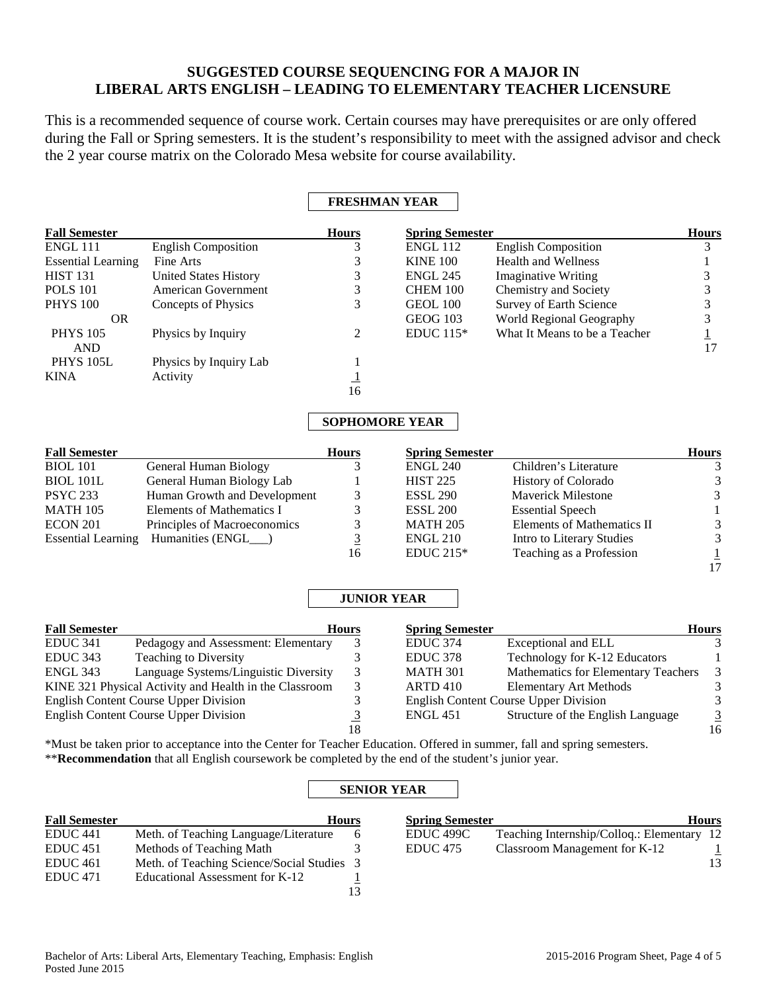# **SUGGESTED COURSE SEQUENCING FOR A MAJOR IN LIBERAL ARTS ENGLISH – LEADING TO ELEMENTARY TEACHER LICENSURE**

This is a recommended sequence of course work. Certain courses may have prerequisites or are only offered during the Fall or Spring semesters. It is the student's responsibility to meet with the assigned advisor and check the 2 year course matrix on the Colorado Mesa website for course availability.

# **FRESHMAN YEAR**

| <b>Fall Semester</b>      |                              | <b>Hours</b>          | <b>Spring Semester</b> |                               | <b>Hours</b> |
|---------------------------|------------------------------|-----------------------|------------------------|-------------------------------|--------------|
| ENGL 111                  | <b>English Composition</b>   |                       | <b>ENGL 112</b>        | <b>English Composition</b>    |              |
| <b>Essential Learning</b> | Fine Arts                    | 3                     | <b>KINE 100</b>        | Health and Wellness           |              |
| <b>HIST 131</b>           | <b>United States History</b> | 3                     | <b>ENGL 245</b>        | <b>Imaginative Writing</b>    |              |
| <b>POLS</b> 101           | American Government          | 3                     | <b>CHEM 100</b>        | Chemistry and Society         |              |
| <b>PHYS 100</b>           | Concepts of Physics          | 3                     | GEOL 100               | Survey of Earth Science       |              |
| OR.                       |                              |                       | <b>GEOG 103</b>        | World Regional Geography      |              |
| <b>PHYS 105</b>           | Physics by Inquiry           | $\overline{2}$        | $EDUC 115*$            | What It Means to be a Teacher |              |
| <b>AND</b>                |                              |                       |                        |                               | 17           |
| <b>PHYS 105L</b>          | Physics by Inquiry Lab       |                       |                        |                               |              |
| <b>KINA</b>               | Activity                     | $\mathbf{I}$          |                        |                               |              |
|                           |                              | 16                    |                        |                               |              |
|                           |                              | <b>COPHOMORE VEAR</b> |                        |                               |              |

#### **SOPHOMORE YEAR**  $\mathbf{I}$

| <b>Fall Semester</b> |                                        | <b>Hours</b>   | <b>Spring Semester</b> |                            | <b>Hours</b>  |
|----------------------|----------------------------------------|----------------|------------------------|----------------------------|---------------|
| <b>BIOL</b> 101      | General Human Biology                  |                | <b>ENGL 240</b>        | Children's Literature      | $\mathcal{E}$ |
| <b>BIOL 101L</b>     | General Human Biology Lab              |                | <b>HIST 225</b>        | <b>History of Colorado</b> | 3             |
| <b>PSYC 233</b>      | Human Growth and Development           |                | <b>ESSL 290</b>        | <b>Maverick Milestone</b>  | 3             |
| <b>MATH 105</b>      | Elements of Mathematics I              |                | <b>ESSL 200</b>        | <b>Essential Speech</b>    |               |
| ECON 201             | Principles of Macroeconomics           |                | <b>MATH 205</b>        | Elements of Mathematics II | 3             |
|                      | Essential Learning Humanities (ENGL__) | $\mathfrak{I}$ | <b>ENGL 210</b>        | Intro to Literary Studies  | 3             |
|                      |                                        | 16             | EDUC $215*$            | Teaching as a Profession   |               |

# **JUNIOR YEAR**

| <b>Fall Semester</b> |                                                        | <b>Hours</b> | <b>Spring Semester</b> |                                              | <b>Hours</b>   |
|----------------------|--------------------------------------------------------|--------------|------------------------|----------------------------------------------|----------------|
| <b>EDUC 341</b>      | Pedagogy and Assessment: Elementary                    |              | EDUC <sub>374</sub>    | Exceptional and ELL                          |                |
| EDUC 343             | <b>Teaching to Diversity</b>                           |              | EDUC <sub>378</sub>    | Technology for K-12 Educators                |                |
| <b>ENGL 343</b>      | Language Systems/Linguistic Diversity                  |              | <b>MATH 301</b>        | Mathematics for Elementary Teachers          | $\mathcal{E}$  |
|                      | KINE 321 Physical Activity and Health in the Classroom |              | ARTD 410               | <b>Elementary Art Methods</b>                |                |
|                      | <b>English Content Course Upper Division</b>           |              |                        | <b>English Content Course Upper Division</b> |                |
|                      | <b>English Content Course Upper Division</b>           |              | <b>ENGL 451</b>        | Structure of the English Language            | $\overline{3}$ |
|                      |                                                        | 18           |                        |                                              | 16             |
|                      |                                                        |              |                        |                                              |                |

\*Must be taken prior to acceptance into the Center for Teacher Education. Offered in summer, fall and spring semesters. \*\***Recommendation** that all English coursework be completed by the end of the student's junior year.

# **SENIOR YEAR**

| <b>Fall Semester</b> | <b>Hours</b>                             |     |
|----------------------|------------------------------------------|-----|
| EDUC 441             | Meth. of Teaching Language/Literature    | h   |
| EDUC 451             | Methods of Teaching Math                 |     |
| EDUC 461             | Meth. of Teaching Science/Social Studies | - 3 |
| EDUC <sub>471</sub>  | Educational Assessment for K-12          |     |
|                      |                                          |     |

| <b>Spring Semester</b> | <b>Hours</b>                               |  |
|------------------------|--------------------------------------------|--|
| EDUC 499C              | Teaching Internship/Colloq.: Elementary 12 |  |
| EDUC 475               | Classroom Management for K-12              |  |
|                        |                                            |  |

17